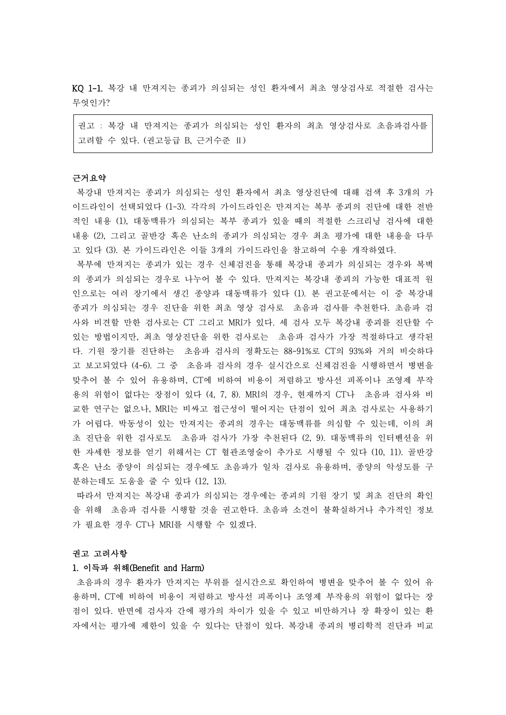KQ 1-1. 복강 내 만져지는 종괴가 의심되는 성인 환자에서 최초 영상검사로 적절한 검사는 무엇인가?

권고 : 복강 내 만져지는 종괴가 의심되는 성인 환자의 최초 영상검사로 초음파검사를 고려할 수 있다. (권고등급 B, 근거수준 Ⅱ)

## 근거요약

복강내 만져지는 종괴가 의심되는 성인 환자에서 최초 영상진단에 대해 검색 후 3개의 가 이드라인이 선택되었다 (1-3). 각각의 가이드라인은 만져지는 복부 종괴의 진단에 대한 전반 적인 내용 (1), 대동맥류가 의심되는 복부 종괴가 있을 때의 적절한 스크리닝 검사에 대한 내용 (2), 그리고 골반강 혹은 난소의 종괴가 의심되는 경우 최초 평가에 대한 내용을 다루 고 있다 (3). 본 가이드라인은 이들 3개의 가이드라인을 참고하여 수용 개작하였다.

복부에 만져지는 종괴가 있는 경우 신체검진을 통해 복강내 종괴가 의심되는 경우와 복벽 의 종괴가 의심되는 경우로 나누어 볼 수 있다. 만져지는 복강내 종괴의 가능한 대표적 원 인으로는 여러 장기에서 생긴 종양과 대동맥류가 있다 (1). 본 권고문에서는 이 중 복강내 종괴가 의심되는 경우 진단을 위한 최초 영상 검사로 초음파 검사를 추천한다. 초음파 검 사와 비견할 만한 검사로는 CT 그리고 MRI가 있다. 세 검사 모두 복강내 종괴를 진단할 수 있는 방법이지만, 최초 영상진단을 위한 검사로는 초음파 검사가 가장 적절하다고 생각된 다. 기원 장기를 진단하는 초음파 검사의 정확도는 88-91%로 CT의 93%와 거의 비슷하다 고 보고되었다 (4-6). 그 중 초음파 검사의 경우 실시간으로 신체검진을 시행하면서 병변을 맞추어 볼 수 있어 유용하며, CT에 비하여 비용이 저렴하고 방사선 피폭이나 조영제 부작 용의 위험이 없다는 장점이 있다 (4, 7, 8). MRI의 경우, 현재까지 CT나 초음파 검사와 비 교한 연구는 없으나, MRI는 비싸고 접근성이 떨어지는 단점이 있어 최초 검사로는 사용하기 가 어렵다. 박동성이 있는 만져지는 종괴의 경우는 대동맥류를 의심할 수 있는데, 이의 최 초 진단을 위한 검사로도 초음파 검사가 가장 추천된다 (2, 9). 대동맥류의 인터벤션을 위 한 자세한 정보를 얻기 위해서는 CT 혈관조영술이 추가로 시행될 수 있다 (10, 11). 골반강 혹은 난소 종양이 의심되는 경우에도 초음파가 일차 검사로 유용하며, 종양의 악성도를 구 분하는데도 도움을 줄 수 있다 (12, 13).

따라서 만져지는 복강내 종괴가 의심되는 경우에는 종괴의 기원 장기 및 최초 진단의 확인 을 위해 초음파 검사를 시행할 것을 권고한다. 초음파 소견이 불확실하거나 추가적인 정보 가 필요한 경우 CT나 MRI를 시행할 수 있겠다.

#### 권고 고려사항

## 1. 이득과 위해(Benefit and Harm)

초음파의 경우 환자가 만져지는 부위를 실시간으로 확인하여 병변을 맞추어 볼 수 있어 유 용하며, CT에 비하여 비용이 저렴하고 방사선 피폭이나 조영제 부작용의 위험이 없다는 장 점이 있다. 반면에 검사자 간에 평가의 차이가 있을 수 있고 비만하거나 장 확장이 있는 환 자에서는 평가에 제한이 있을 수 있다는 단점이 있다. 복강내 종괴의 병리학적 진단과 비교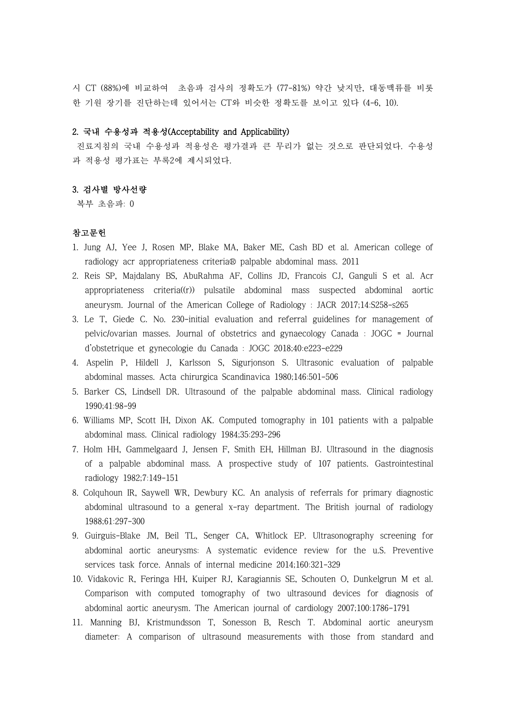시 CT (88%)에 비교하여 초음파 검사의 정확도가 (77-81%) 약간 낮지만, 대동맥류를 비롯 한 기원 장기를 진단하는데 있어서는 CT와 비슷한 정확도를 보이고 있다 (4-6, 10).

## 2. 국내 수용성과 적용성(Acceptability and Applicability)

진료지침의 국내 수용성과 적용성은 평가결과 큰 무리가 없는 것으로 판단되었다. 수용성 과 적용성 평가표는 부록2에 제시되었다.

# 3. 검사별 방사선량

복부 초음파: 0

## 참고문헌

- 1. Jung AJ, Yee J, Rosen MP, Blake MA, Baker ME, Cash BD et al. American college of radiology acr appropriateness criteria® palpable abdominal mass. 2011
- 2. Reis SP, Majdalany BS, AbuRahma AF, Collins JD, Francois CJ, Ganguli S et al. Acr appropriateness criteria((r)) pulsatile abdominal mass suspected abdominal aortic aneurysm. Journal of the American College of Radiology : JACR 2017;14:S258-s265
- 3. Le T, Giede C. No. 230-initial evaluation and referral guidelines for management of pelvic/ovarian masses. Journal of obstetrics and gynaecology Canada : JOGC = Journal d'obstetrique et gynecologie du Canada : JOGC 2018;40:e223-e229
- 4. Aspelin P, Hildell J, Karlsson S, Sigurjonson S. Ultrasonic evaluation of palpable abdominal masses. Acta chirurgica Scandinavica 1980;146:501-506
- 5. Barker CS, Lindsell DR. Ultrasound of the palpable abdominal mass. Clinical radiology 1990;41:98-99
- 6. Williams MP, Scott IH, Dixon AK. Computed tomography in 101 patients with a palpable abdominal mass. Clinical radiology 1984;35:293-296
- 7. Holm HH, Gammelgaard J, Jensen F, Smith EH, Hillman BJ. Ultrasound in the diagnosis of a palpable abdominal mass. A prospective study of 107 patients. Gastrointestinal radiology 1982;7:149-151
- 8. Colquhoun IR, Saywell WR, Dewbury KC. An analysis of referrals for primary diagnostic abdominal ultrasound to a general x-ray department. The British journal of radiology 1988;61:297-300
- 9. Guirguis-Blake JM, Beil TL, Senger CA, Whitlock EP. Ultrasonography screening for abdominal aortic aneurysms: A systematic evidence review for the u.S. Preventive services task force. Annals of internal medicine 2014;160:321-329
- 10. Vidakovic R, Feringa HH, Kuiper RJ, Karagiannis SE, Schouten O, Dunkelgrun M et al. Comparison with computed tomography of two ultrasound devices for diagnosis of abdominal aortic aneurysm. The American journal of cardiology 2007;100:1786-1791
- 11. Manning BJ, Kristmundsson T, Sonesson B, Resch T. Abdominal aortic aneurysm diameter: A comparison of ultrasound measurements with those from standard and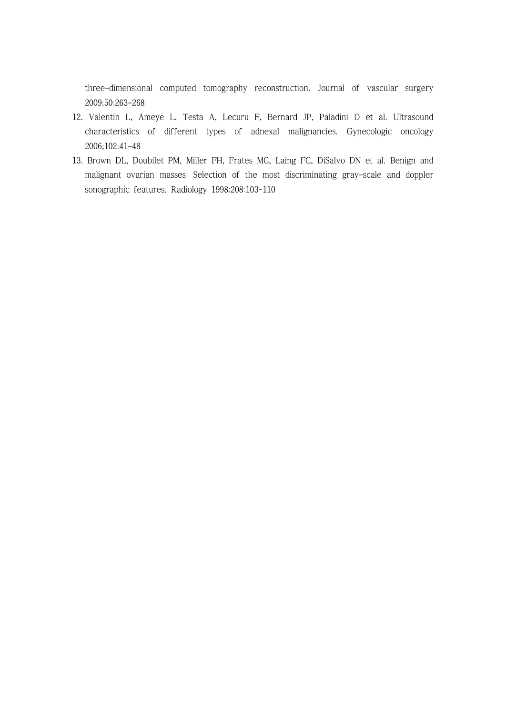three-dimensional computed tomography reconstruction. Journal of vascular surgery 2009;50:263-268

- 12. Valentin L, Ameye L, Testa A, Lecuru F, Bernard JP, Paladini D et al. Ultrasound characteristics of different types of adnexal malignancies. Gynecologic oncology 2006;102:41-48
- 13. Brown DL, Doubilet PM, Miller FH, Frates MC, Laing FC, DiSalvo DN et al. Benign and malignant ovarian masses: Selection of the most discriminating gray-scale and doppler sonographic features. Radiology 1998;208:103-110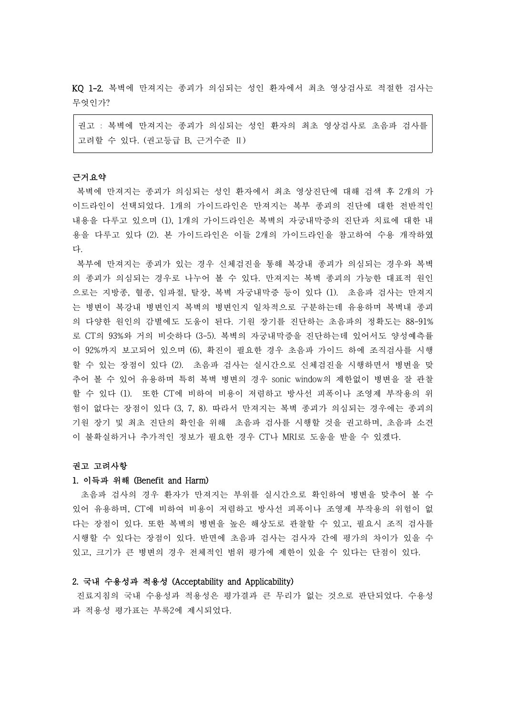KQ 1-2. 복벽에 만져지는 종괴가 의심되는 성인 환자에서 최초 영상검사로 적절한 검사는 무엇인가?

권고 : 복벽에 만져지는 종괴가 의심되는 성인 환자의 최초 영상검사로 초음파 검사를 고려할 수 있다. (권고등급 B, 근거수준 Ⅱ)

### 근거요약

복벽에 만져지는 종괴가 의심되는 성인 환자에서 최초 영상진단에 대해 검색 후 2개의 가 이드라인이 선택되었다. 1개의 가이드라인은 만져지는 복부 종괴의 진단에 대한 전반적인 내용을 다루고 있으며 (1), 1개의 가이드라인은 복벽의 자궁내막증의 진단과 치료에 대한 내 용을 다루고 있다 (2). 본 가이드라인은 이들 2개의 가이드라인을 참고하여 수용 개작하였 다.

복부에 만져지는 종괴가 있는 경우 신체검진을 통해 복강내 종괴가 의심되는 경우와 복벽 의 종괴가 의심되는 경우로 나누어 볼 수 있다. 만져지는 복벽 종괴의 가능한 대표적 원인 으로는 지방종, 혈종, 임파절, 탈장, 복벽 자궁내막증 등이 있다 (1). 초음파 검사는 만져지 는 병변이 복강내 병변인지 복벽의 병변인지 일차적으로 구분하는데 유용하며 복벽내 종괴 의 다양한 원인의 감별에도 도움이 된다. 기원 장기를 진단하는 초음파의 정확도는 88-91% 로 CT의 93%와 거의 비슷하다 (3-5). 복벽의 자궁내막증을 진단하는데 있어서도 양성예측률 이 92%까지 보고되어 있으며 (6), 확진이 필요한 경우 초음파 가이드 하에 조직검사를 시행 할 수 있는 장점이 있다 (2). 초음파 검사는 실시간으로 신체검진을 시행하면서 병변을 맞 추어 볼 수 있어 유용하며 특히 복벽 병변의 경우 sonic window의 제한없이 병변을 잘 관찰 할 수 있다 (1). 또한 CT에 비하여 비용이 저렴하고 방사선 피폭이나 조영제 부작용의 위 험이 없다는 장점이 있다 (3, 7, 8). 따라서 만져지는 복벽 종괴가 의심되는 경우에는 종괴의 기원 장기 및 최초 진단의 확인을 위해 초음파 검사를 시행할 것을 권고하며, 초음파 소견 이 불확실하거나 추가적인 정보가 필요한 경우 CT나 MRI로 도움을 받을 수 있겠다.

#### 권고 고려사항

**1. 이득과 위해 (Benefit and Harm)**<br>- 초음파 검사의 경우 환자가 만져지는 부위를 실시간으로 확인하여 병변을 맞추어 볼 수 있어 유용하며, CT에 비하여 비용이 저렴하고 방사선 피폭이나 조영제 부작용의 위험이 없 다는 장점이 있다. 또한 복벽의 병변을 높은 해상도로 관찰할 수 있고, 필요시 조직 검사를 시행할 수 있다는 장점이 있다. 반면에 초음파 검사는 검사자 간에 평가의 차이가 있을 수 있고, 크기가 큰 병변의 경우 전체적인 범위 평가에 제한이 있을 수 있다는 단점이 있다.

# 2. 국내 수용성과 적용성 (Acceptability and Applicability)

진료지침의 국내 수용성과 적용성은 평가결과 큰 무리가 없는 것으로 판단되었다. 수용성 과 적용성 평가표는 부록2에 제시되었다.